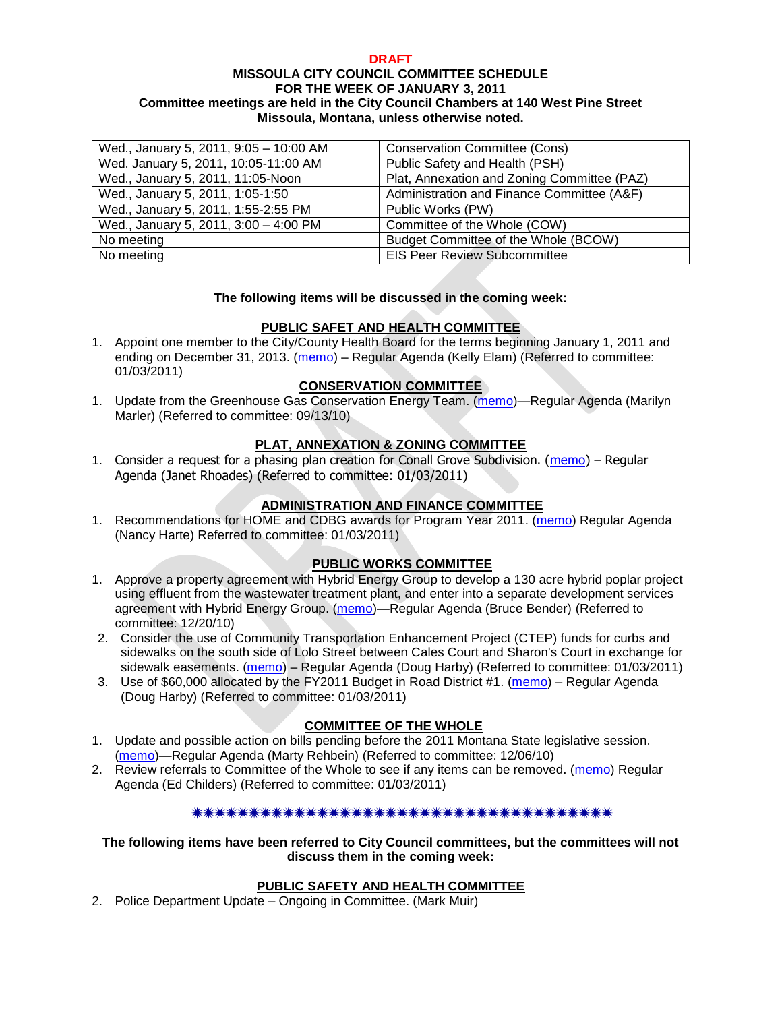#### **DRAFT MISSOULA CITY COUNCIL COMMITTEE SCHEDULE FOR THE WEEK OF JANUARY 3, 2011 Committee meetings are held in the City Council Chambers at 140 West Pine Street Missoula, Montana, unless otherwise noted.**

| Wed., January 5, 2011, 9:05 - 10:00 AM | <b>Conservation Committee (Cons)</b>        |
|----------------------------------------|---------------------------------------------|
| Wed. January 5, 2011, 10:05-11:00 AM   | Public Safety and Health (PSH)              |
| Wed., January 5, 2011, 11:05-Noon      | Plat, Annexation and Zoning Committee (PAZ) |
| Wed., January 5, 2011, 1:05-1:50       | Administration and Finance Committee (A&F)  |
| Wed., January 5, 2011, 1:55-2:55 PM    | Public Works (PW)                           |
| Wed., January 5, 2011, 3:00 - 4:00 PM  | Committee of the Whole (COW)                |
| No meeting                             | Budget Committee of the Whole (BCOW)        |
| No meeting                             | <b>EIS Peer Review Subcommittee</b>         |

#### **The following items will be discussed in the coming week:**

## **PUBLIC SAFET AND HEALTH COMMITTEE**

1. Appoint one member to the City/County Health Board for the terms beginning January 1, 2011 and ending on December 31, 2013. [\(memo\)](http://www.ci.missoula.mt.us/DocumentView.aspx?DID=5305) – Regular Agenda (Kelly Elam) (Referred to committee: 01/03/2011)

## **CONSERVATION COMMITTEE**

1. Update from the Greenhouse Gas Conservation Energy Team. [\(memo\)](http://www.ci.missoula.mt.us/DocumentView.aspx?DID=4556)—Regular Agenda (Marilyn Marler) (Referred to committee: 09/13/10)

## **PLAT, ANNEXATION & ZONING COMMITTEE**

1. Consider a request for a phasing plan creation for Conall Grove Subdivision. [\(memo\)](http://www.ci.missoula.mt.us/DocumentView.aspx?DID=5302) – Regular Agenda (Janet Rhoades) (Referred to committee: 01/03/2011)

## **ADMINISTRATION AND FINANCE COMMITTEE**

1. Recommendations for HOME and CDBG awards for Program Year 2011. [\(memo\)](http://www.ci.missoula.mt.us/DocumentView.aspx?DID=5306) Regular Agenda (Nancy Harte) Referred to committee: 01/03/2011)

## **PUBLIC WORKS COMMITTEE**

- 1. Approve a property agreement with Hybrid Energy Group to develop a 130 acre hybrid poplar project using effluent from the wastewater treatment plant, and enter into a separate development services agreement with Hybrid Energy Group. [\(memo\)](http://www.ci.missoula.mt.us/DocumentView.aspx?DID=5254)—Regular Agenda (Bruce Bender) (Referred to committee: 12/20/10)
- 2. Consider the use of Community Transportation Enhancement Project (CTEP) funds for curbs and sidewalks on the south side of Lolo Street between Cales Court and Sharon's Court in exchange for sidewalk easements. [\(memo\)](http://www.ci.missoula.mt.us/DocumentView.aspx?DID=5307) – Regular Agenda (Doug Harby) (Referred to committee: 01/03/2011)
- 3. Use of \$60,000 allocated by the FY2011 Budget in Road District #1. [\(memo\)](http://www.ci.missoula.mt.us/DocumentView.aspx?DID=5308) Regular Agenda (Doug Harby) (Referred to committee: 01/03/2011)

## **COMMITTEE OF THE WHOLE**

- 1. Update and possible action on bills pending before the 2011 Montana State legislative session. [\(memo\)](http://www.ci.missoula.mt.us/DocumentView.aspx?DID=5146)—Regular Agenda (Marty Rehbein) (Referred to committee: 12/06/10)
- 2. Review referrals to Committee of the Whole to see if any items can be removed. [\(memo\)](http://www.ci.missoula.mt.us/DocumentView.aspx?DID=5309) Regular Agenda (Ed Childers) (Referred to committee: 01/03/2011)

#### \*\*\*\*\*\*\*\*\*\*\*\*\*\*\*\*\*\*\*\*\*\*\*\*\*\*\*\*\*\*\*\*\*\*\*\*

#### **The following items have been referred to City Council committees, but the committees will not discuss them in the coming week:**

## **PUBLIC SAFETY AND HEALTH COMMITTEE**

2. Police Department Update – Ongoing in Committee. (Mark Muir)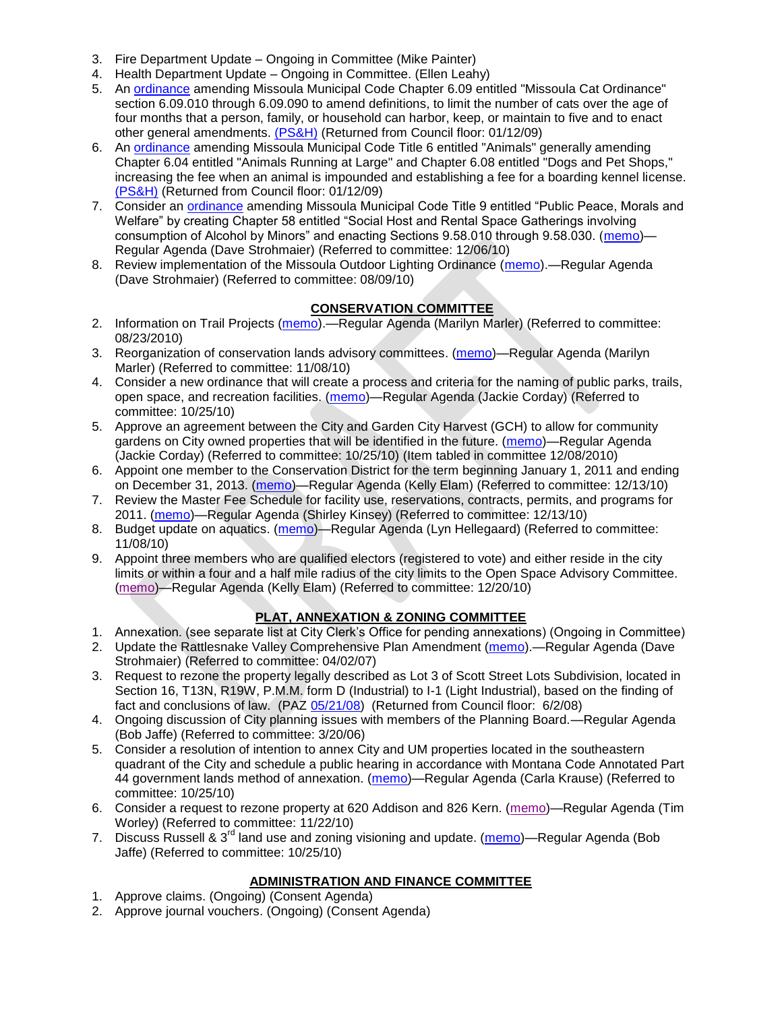- 3. Fire Department Update Ongoing in Committee (Mike Painter)
- 4. Health Department Update Ongoing in Committee. (Ellen Leahy)
- 5. An [ordinance](ftp://ftp.ci.missoula.mt.us/Packets/Council/2008/2008-12-15/2008CatOrdinanceAmendment%5B1%5D.pdf) amending Missoula Municipal Code Chapter 6.09 entitled "Missoula Cat Ordinance" section 6.09.010 through 6.09.090 to amend definitions, to limit the number of cats over the age of four months that a person, family, or household can harbor, keep, or maintain to five and to enact other general amendments. [\(PS&H\)](ftp://ftp.ci.missoula.mt.us/Packets/Council/2008/2008-12-15/081210psh.pdf) (Returned from Council floor: 01/12/09)
- 6. An [ordinance](ftp://ftp.ci.missoula.mt.us/Packets/Council/2008/2008-12-15/DogOrdinance--PSHrevisions.pdf) amending Missoula Municipal Code Title 6 entitled "Animals" generally amending Chapter 6.04 entitled "Animals Running at Large" and Chapter 6.08 entitled "Dogs and Pet Shops," increasing the fee when an animal is impounded and establishing a fee for a boarding kennel license. [\(PS&H\)](ftp://ftp.ci.missoula.mt.us/Packets/Council/2008/2008-12-15/081210psh.pdf) (Returned from Council floor: 01/12/09)
- 7. Consider an [ordinance](http://www.ci.missoula.mt.us/DocumentView.aspx?DID=5133) amending Missoula Municipal Code Title 9 entitled "Public Peace, Morals and Welfare" by creating Chapter 58 entitled "Social Host and Rental Space Gatherings involving consumption of Alcohol by Minors" and enacting Sections 9.58.010 through 9.58.030. [\(memo\)](http://www.ci.missoula.mt.us/DocumentView.aspx?DID=5149)— Regular Agenda (Dave Strohmaier) (Referred to committee: 12/06/10)
- 8. Review implementation of the Missoula Outdoor Lighting Ordinance [\(memo\)](http://www.ci.missoula.mt.us/DocumentView.aspx?DID=4420).—Regular Agenda (Dave Strohmaier) (Referred to committee: 08/09/10)

## **CONSERVATION COMMITTEE**

- 2. Information on Trail Projects [\(memo\)](http://www.ci.missoula.mt.us/DocumentView.aspx?DID=4477).—Regular Agenda (Marilyn Marler) (Referred to committee: 08/23/2010)
- 3. Reorganization of conservation lands advisory committees. [\(memo\)](http://www.ci.missoula.mt.us/DocumentView.aspx?DID=4957)—Regular Agenda (Marilyn Marler) (Referred to committee: 11/08/10)
- 4. Consider a new ordinance that will create a process and criteria for the naming of public parks, trails, open space, and recreation facilities. [\(memo\)](http://www.ci.missoula.mt.us/DocumentView.aspx?DID=4848)—Regular Agenda (Jackie Corday) (Referred to committee: 10/25/10)
- 5. Approve an agreement between the City and Garden City Harvest (GCH) to allow for community gardens on City owned properties that will be identified in the future. [\(memo\)](http://www.ci.missoula.mt.us/DocumentView.aspx?DID=4847)—Regular Agenda (Jackie Corday) (Referred to committee: 10/25/10) (Item tabled in committee 12/08/2010)
- 6. Appoint one member to the Conservation District for the term beginning January 1, 2011 and ending on December 31, 2013. [\(memo\)](http://www.ci.missoula.mt.us/DocumentView.aspx?DID=5204)—Regular Agenda (Kelly Elam) (Referred to committee: 12/13/10)
- 7. Review the Master Fee Schedule for facility use, reservations, contracts, permits, and programs for 2011. [\(memo\)](http://www.ci.missoula.mt.us/DocumentView.aspx?DID=5207)—Regular Agenda (Shirley Kinsey) (Referred to committee: 12/13/10)
- 8. Budget update on aquatics. [\(memo\)](http://www.ci.missoula.mt.us/DocumentView.aspx?DID=4917)—Regular Agenda (Lyn Hellegaard) (Referred to committee: 11/08/10)
- 9. Appoint three members who are qualified electors (registered to vote) and either reside in the city limits or within a four and a half mile radius of the city limits to the Open Space Advisory Committee. [\(memo\)](http://www.ci.missoula.mt.us/DocumentView.aspx?DID=5253)—Regular Agenda (Kelly Elam) (Referred to committee: 12/20/10)

## **PLAT, ANNEXATION & ZONING COMMITTEE**

- 1. Annexation. (see separate list at City Clerk's Office for pending annexations) (Ongoing in Committee)
- 2. Update the Rattlesnake Valley Comprehensive Plan Amendment [\(memo\)](ftp://ftp.ci.missoula.mt.us/Packets/Council/2007/2007-04-02/Referrals/Rattlesnake_Plan_Update_referral.pdf).—Regular Agenda (Dave Strohmaier) (Referred to committee: 04/02/07)
- 3. Request to rezone the property legally described as Lot 3 of Scott Street Lots Subdivision, located in Section 16, T13N, R19W, P.M.M. form D (Industrial) to I-1 (Light Industrial), based on the finding of fact and conclusions of law. (PAZ [05/21/08\)](ftp://ftp.ci.missoula.mt.us/Packets/Council/2008/2008-06-02/080521paz.pdf) (Returned from Council floor: 6/2/08)
- 4. Ongoing discussion of City planning issues with members of the Planning Board.—Regular Agenda (Bob Jaffe) (Referred to committee: 3/20/06)
- 5. Consider a resolution of intention to annex City and UM properties located in the southeastern quadrant of the City and schedule a public hearing in accordance with Montana Code Annotated Part 44 government lands method of annexation. [\(memo\)](http://www.ci.missoula.mt.us/DocumentView.aspx?DID=4845)—Regular Agenda (Carla Krause) (Referred to committee: 10/25/10)
- 6. Consider a request to rezone property at 620 Addison and 826 Kern. [\(memo\)](http://www.ci.missoula.mt.us/DocumentView.aspx?DID=5088)—Regular Agenda (Tim Worley) (Referred to committee: 11/22/10)
- 7. Discuss Russell & 3<sup>rd</sup> land use and zoning visioning and update. [\(memo\)](http://www.ci.missoula.mt.us/DocumentView.aspx?DID=4864)—Regular Agenda (Bob Jaffe) (Referred to committee: 10/25/10)

## **ADMINISTRATION AND FINANCE COMMITTEE**

- 1. Approve claims. (Ongoing) (Consent Agenda)
- 2. Approve journal vouchers. (Ongoing) (Consent Agenda)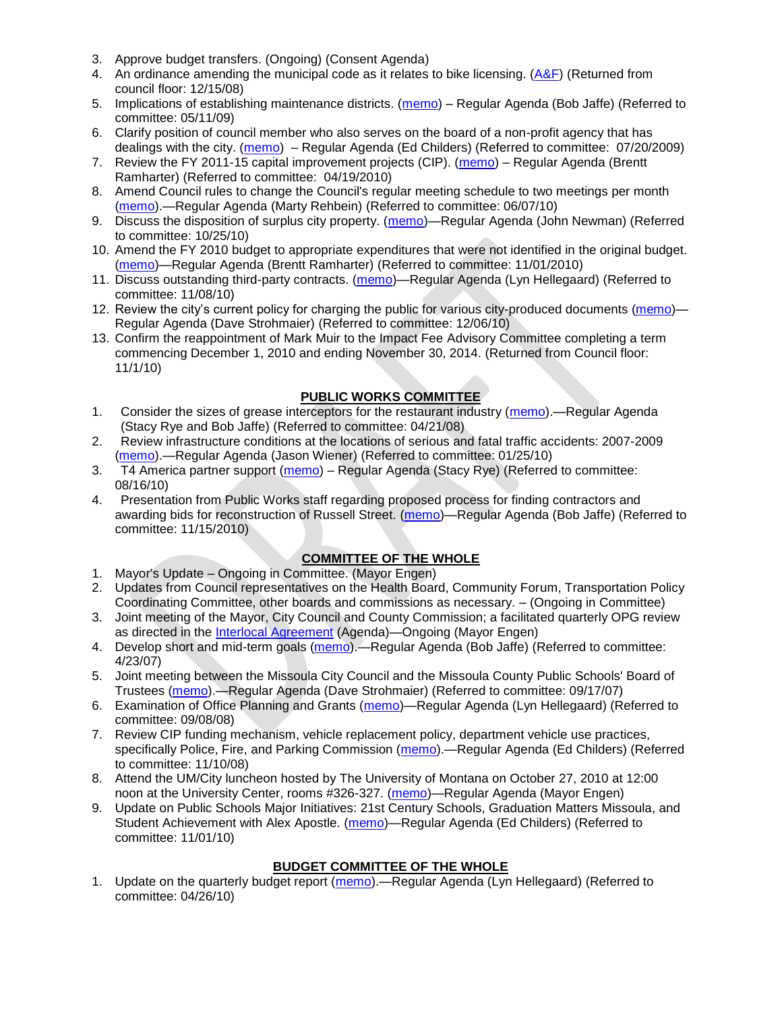- 3. Approve budget transfers. (Ongoing) (Consent Agenda)
- 4. An ordinance amending the municipal code as it relates to bike licensing. [\(A&F\)](ftp://ftp.ci.missoula.mt.us/Packets/Council/2008/2008-12-15/081210af.pdf) (Returned from council floor: 12/15/08)
- 5. Implications of establishing maintenance districts. [\(memo\)](ftp://ftp.ci.missoula.mt.us/Packets/Council/2009/2009-05-11/Referrals/MaintenanceDistricts.pdf) Regular Agenda (Bob Jaffe) (Referred to committee: 05/11/09)
- 6. Clarify position of council member who also serves on the board of a non-profit agency that has dealings with the city. [\(memo\)](http://www.ci.missoula.mt.us/DocumentView.aspx?DID=1840) – Regular Agenda (Ed Childers) (Referred to committee: 07/20/2009)
- 7. Review the FY 2011-15 capital improvement projects (CIP). [\(memo\)](http://www.ci.missoula.mt.us/DocumentView.aspx?DID=3522) Regular Agenda (Brentt Ramharter) (Referred to committee: 04/19/2010)
- 8. Amend Council rules to change the Council's regular meeting schedule to two meetings per month [\(memo\)](http://www.ci.missoula.mt.us/DocumentView.aspx?DID=4027).—Regular Agenda (Marty Rehbein) (Referred to committee: 06/07/10)
- 9. Discuss the disposition of surplus city property. [\(memo\)](http://www.ci.missoula.mt.us/DocumentView.aspx?DID=4862)—Regular Agenda (John Newman) (Referred to committee: 10/25/10)
- 10. Amend the FY 2010 budget to appropriate expenditures that were not identified in the original budget. [\(memo\)](http://www.ci.missoula.mt.us/DocumentView.aspx?DID=4883)—Regular Agenda (Brentt Ramharter) (Referred to committee: 11/01/2010)
- 11. Discuss outstanding third-party contracts. [\(memo\)](http://www.ci.missoula.mt.us/DocumentView.aspx?DID=4956)—Regular Agenda (Lyn Hellegaard) (Referred to committee: 11/08/10)
- 12. Review the city's current policy for charging the public for various city-produced documents [\(memo\)](http://www.ci.missoula.mt.us/DocumentView.aspx?DID=5143) Regular Agenda (Dave Strohmaier) (Referred to committee: 12/06/10)
- 13. Confirm the reappointment of Mark Muir to the Impact Fee Advisory Committee completing a term commencing December 1, 2010 and ending November 30, 2014. (Returned from Council floor: 11/1/10)

# **PUBLIC WORKS COMMITTEE**

- 1. Consider the sizes of grease interceptors for the restaurant industry [\(memo\)](ftp://ftp.ci.missoula.mt.us/Packets/Council/2008/2008-04-21/Referrals/Industrial_waste_restaurants.pdf).—Regular Agenda (Stacy Rye and Bob Jaffe) (Referred to committee: 04/21/08)
- 2. Review infrastructure conditions at the locations of serious and fatal traffic accidents: 2007-2009 [\(memo\)](http://www.ci.missoula.mt.us/DocumentView.aspx?DID=3031).—Regular Agenda (Jason Wiener) (Referred to committee: 01/25/10)
- 3. T4 America partner support [\(memo\)](http://www.ci.missoula.mt.us/DocumentView.aspx?DID=4452) Regular Agenda (Stacy Rye) (Referred to committee: 08/16/10)
- 4. Presentation from Public Works staff regarding proposed process for finding contractors and awarding bids for reconstruction of Russell Street. [\(memo\)](http://www.ci.missoula.mt.us/DocumentView.aspx?DID=5042)—Regular Agenda (Bob Jaffe) (Referred to committee: 11/15/2010)

## **COMMITTEE OF THE WHOLE**

- 1. Mayor's Update Ongoing in Committee. (Mayor Engen)
- 2. Updates from Council representatives on the Health Board, Community Forum, Transportation Policy Coordinating Committee, other boards and commissions as necessary. – (Ongoing in Committee)
- 3. Joint meeting of the Mayor, City Council and County Commission; a facilitated quarterly OPG review as directed in the [Interlocal Agreement](ftp://ftp.ci.missoula.mt.us/Documents/Mayor/OPG/Adopted-ILA-2005.pdf) (Agenda)—Ongoing (Mayor Engen)
- 4. Develop short and mid-term goals [\(memo\)](ftp://ftp.ci.missoula.mt.us/Packets/Council/2007/2007-04-23/Referrals/Council_Goals.pdf).—Regular Agenda (Bob Jaffe) (Referred to committee: 4/23/07)
- 5. Joint meeting between the Missoula City Council and the Missoula County Public Schools' Board of Trustees [\(memo\)](ftp://ftp.ci.missoula.mt.us/Packets/Council/2007/2007-09-17/Referrals/Council_School_Board_referral.pdf).—Regular Agenda (Dave Strohmaier) (Referred to committee: 09/17/07)
- 6. Examination of Office Planning and Grants [\(memo\)](ftp://ftp.ci.missoula.mt.us/Packets/Council/2008/2008-09-08/Referrals/080825HendricksonOPGreferral.pdf)—Regular Agenda (Lyn Hellegaard) (Referred to committee: 09/08/08)
- 7. Review CIP funding mechanism, vehicle replacement policy, department vehicle use practices, specifically Police, Fire, and Parking Commission [\(memo\)](ftp://ftp.ci.missoula.mt.us/Packets/Council/2008/2008-11-10/Referrals/ReviewBudgetary.pdf).—Regular Agenda (Ed Childers) (Referred to committee: 11/10/08)
- 8. Attend the UM/City luncheon hosted by The University of Montana on October 27, 2010 at 12:00 noon at the University Center, rooms #326-327. [\(memo\)](http://www.ci.missoula.mt.us/DocumentView.aspx?DID=4706)—Regular Agenda (Mayor Engen)
- 9. Update on Public Schools Major Initiatives: 21st Century Schools, Graduation Matters Missoula, and Student Achievement with Alex Apostle. [\(memo\)](http://www.ci.missoula.mt.us/DocumentView.aspx?DID=4902)—Regular Agenda (Ed Childers) (Referred to committee: 11/01/10)

## **BUDGET COMMITTEE OF THE WHOLE**

1. Update on the quarterly budget report [\(memo\)](http://www.ci.missoula.mt.us/DocumentView.aspx?DID=3554).—Regular Agenda (Lyn Hellegaard) (Referred to committee: 04/26/10)